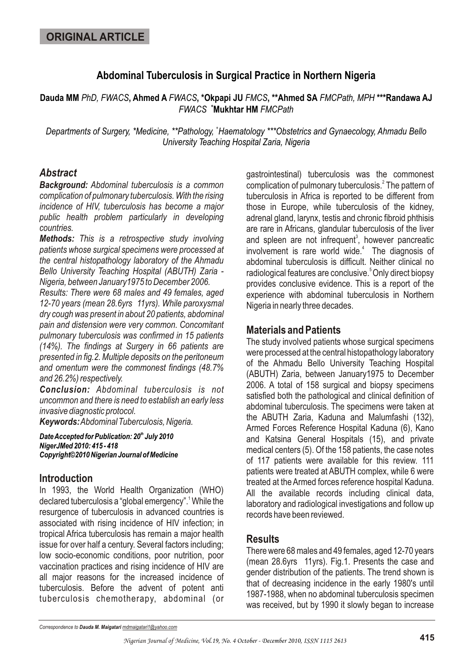# **Abdominal Tuberculosis in Surgical Practice in Northern Nigeria**

**Dauda MM** *PhD, FWACS***, Ahmed A** *FWACS***, \*Okpapi JU** *FMCS***, \*\*Ahmed SA** *FMCPath, MPH* **\*\*\*Randawa AJ +** *FWACS* **Mukhtar HM** *FMCPath*

Departments of Surgery, \*Medicine, \*\*Pathology, \*Haematology \*\*\*Obstetrics and Gynaecology, Ahmadu Bello *University Teaching Hospital Zaria, Nigeria*

### *Abstract*

*Background: Abdominal tuberculosis is a common complication of pulmonary tuberculosis. With the rising incidence of HIV, tuberculosis has become a major public health problem particularly in developing countries.*

*Methods: This is a retrospective study involving patients whose surgical specimens were processed at the central histopathology laboratory of the Ahmadu Bello University Teaching Hospital (ABUTH) Zaria - Nigeria, between January1975 to December 2006.*

*Results: There were 68 males and 49 females, aged 12-70 years (mean 28.6yrs 11yrs). While paroxysmal dry cough was present in about 20 patients, abdominal pain and distension were very common. Concomitant pulmonary tuberculosis was confirmed in 15 patients (14%). The findings at Surgery in 66 patients are presented in fig.2. Multiple deposits on the peritoneum and omentum were the commonest findings (48.7% and 26.2%) respectively.*

*Conclusion: Abdominal tuberculosis is not uncommon and there is need to establish an early less invasive diagnostic protocol.*

*Keywords: Abdominal Tuberculosis, Nigeria.*

*th Date Accepted for Publication: 20 July 2010 NigerJMed 2010: 415 - 418 Copyright©2010 Nigerian Journal of Medicine*

### **Introduction**

In 1993, the World Health Organization (WHO) declared tuberculosis a "global emergency".<sup>1</sup> While the resurgence of tuberculosis in advanced countries is associated with rising incidence of HIV infection; in tropical Africa tuberculosis has remain a major health issue for over half a century. Several factors including; low socio-economic conditions, poor nutrition, poor vaccination practices and rising incidence of HIV are all major reasons for the increased incidence of tuberculosis. Before the advent of potent anti tuberculosis chemotherapy, abdominal (or

gastrointestinal) tuberculosis was the commonest complication of pulmonary tuberculosis.<sup>2</sup> The pattern of tuberculosis in Africa is reported to be different from those in Europe, while tuberculosis of the kidney, adrenal gland, larynx, testis and chronic fibroid phthisis are rare in Africans, glandular tuberculosis of the liver and spleen are not infrequent<sup>3</sup>, however pancreatic involvement is rare world wide.<sup>4</sup> The diagnosis of abdominal tuberculosis is difficult. Neither clinical no radiological features are conclusive.<sup>5</sup> Only direct biopsy provides conclusive evidence. This is a report of the experience with abdominal tuberculosis in Northern Nigeria in nearly three decades.

# **Materials and Patients**

The study involved patients whose surgical specimens were processed at the central histopathology laboratory of the Ahmadu Bello University Teaching Hospital (ABUTH) Zaria, between January1975 to December 2006. A total of 158 surgical and biopsy specimens satisfied both the pathological and clinical definition of abdominal tuberculosis. The specimens were taken at the ABUTH Zaria, Kaduna and Malumfashi (132), Armed Forces Reference Hospital Kaduna (6), Kano and Katsina General Hospitals (15), and private medical centers (5). Of the 158 patients, the case notes of 117 patients were available for this review. 111 patients were treated at ABUTH complex, while 6 were treated at the Armed forces reference hospital Kaduna. All the available records including clinical data, laboratory and radiological investigations and follow up records have been reviewed.

## **Results**

There were 68 males and 49 females, aged 12-70 years (mean 28.6yrs 11yrs). Fig.1. Presents the case and gender distribution of the patients. The trend shown is that of decreasing incidence in the early 1980's until 1987-1988, when no abdominal tuberculosis specimen was received, but by 1990 it slowly began to increase

*Correspondence to Dauda M. Maigatari mdmaigatari1@yahoo.com*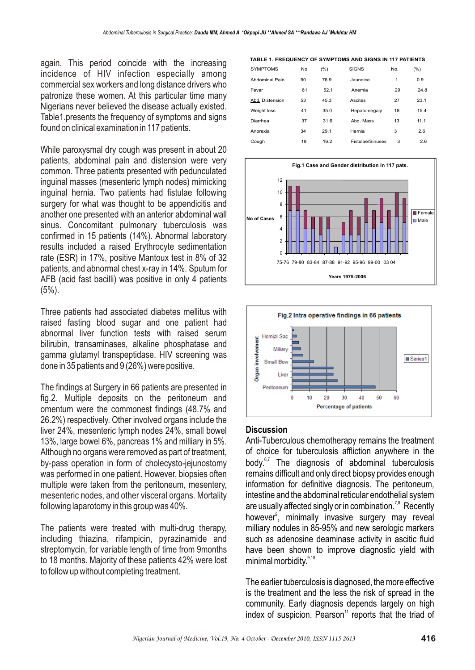again. This period coincide with the increasing incidence of HIV infection especially among commercial sex workers and long distance drivers who patronize these women. At this particular time many Nigerians never believed the disease actually existed. Table1.presents the frequency of symptoms and signs found on clinical examination in 117 patients.

While paroxysmal dry cough was present in about 20 patients, abdominal pain and distension were very common. Three patients presented with pedunculated inguinal masses (mesenteric lymph nodes) mimicking inguinal hernia. Two patients had fistulae following surgery for what was thought to be appendicitis and another one presented with an anterior abdominal wall sinus. Concomitant pulmonary tuberculosis was confirmed in 15 patients (14%). Abnormal laboratory results included a raised Erythrocyte sedimentation rate (ESR) in 17%, positive Mantoux test in 8% of 32 patients, and abnormal chest x-ray in 14%. Sputum for AFB (acid fast bacilli) was positive in only 4 patients  $(5%)$ .

Three patients had associated diabetes mellitus with raised fasting blood sugar and one patient had abnormal liver function tests with raised serum bilirubin, transaminases, alkaline phosphatase and gamma glutamyl transpeptidase. HIV screening was done in 35 patients and 9 (26%) were positive.

The findings at Surgery in 66 patients are presented in fig.2. Multiple deposits on the peritoneum and omentum were the commonest findings (48.7% and 26.2%) respectively. Other involved organs include the liver 24%, mesenteric lymph nodes 24%, small bowel 13%, large bowel 6%, pancreas 1% and milliary in 5%. Although no organs were removed as part of treatment, by-pass operation in form of cholecysto-jejunostomy was performed in one patient. However, biopsies often multiple were taken from the peritoneum, mesentery, mesenteric nodes, and other visceral organs. Mortality following laparotomy in this group was 40%.

The patients were treated with multi-drug therapy, including thiazina, rifampicin, pyrazinamide and streptomycin, for variable length of time from 9months to 18 months. Majority of these patients 42% were lost to follow up without completing treatment.

**TABLE 1. FREQUENCY OF SYMPTOMS AND SIGNS IN 117 PATIENTS**

| <b>SYMPTOMS</b> | No. | (%)  | <b>SIGNS</b>     | No. | (%)  |
|-----------------|-----|------|------------------|-----|------|
| Abdominal Pain  | 90  | 76.9 | Jaundice         | 1   | 0.9  |
| Fever           | 61  | 52.1 | Anemia           | 29  | 24.8 |
| Abd. Distension | 53  | 45.3 | Ascites          | 27  | 23.1 |
| Weight loss     | 41  | 35.0 | Hepatomegaly     | 18  | 15.4 |
| Diarrhea        | 37  | 31.6 | Abd. Mass        | 13  | 11.1 |
| Anorexia        | 34  | 29.1 | Hernia           | 3   | 2.6  |
| Cough           | 19  | 16.2 | Fistulae/Sinuses | 3   | 2.6  |





#### **Discussion**

Anti-Tuberculous chemotherapy remains the treatment of choice for tuberculosis affliction anywhere in the body. $6,7$  The diagnosis of abdominal tuberculosis remains difficult and only direct biopsy provides enough information for definitive diagnosis. The peritoneum, intestine and the abdominal reticular endothelial system are usually affected singly or in combination.<sup>7,8</sup> Recently however<sup>9</sup>, minimally invasive surgery may reveal milliary nodules in 85-95% and new serologic markers such as adenosine deaminase activity in ascitic fluid have been shown to improve diagnostic yield with minimal morbidity. $9,10$ 

The earlier tuberculosis is diagnosed, the more effective is the treatment and the less the risk of spread in the community. Early diagnosis depends largely on high index of suspicion. Pearson $11$  reports that the triad of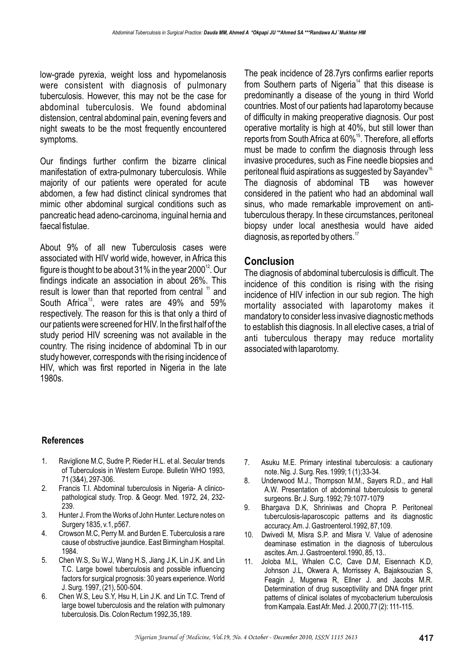low-grade pyrexia, weight loss and hypomelanosis were consistent with diagnosis of pulmonary tuberculosis. However, this may not be the case for abdominal tuberculosis. We found abdominal distension, central abdominal pain, evening fevers and night sweats to be the most frequently encountered symptoms.

Our findings further confirm the bizarre clinical manifestation of extra-pulmonary tuberculosis. While majority of our patients were operated for acute abdomen, a few had distinct clinical syndromes that mimic other abdominal surgical conditions such as pancreatic head adeno-carcinoma, inguinal hernia and faecal fistulae.

About 9% of all new Tuberculosis cases were associated with HIV world wide, however, in Africa this figure is thought to be about 31% in the year 2000 $^{\text{12}}$ . Our findings indicate an association in about 26%. This result is lower than that reported from central  $11$  and South Africa<sup>13</sup>, were rates are  $49\%$  and  $59\%$ respectively. The reason for this is that only a third of our patients were screened for HIV. In the first half of the study period HIV screening was not available in the country. The rising incidence of abdominal Tb in our study however, corresponds with the rising incidence of HIV, which was first reported in Nigeria in the late 1980s.

The peak incidence of 28.7yrs confirms earlier reports from Southern parts of Nigeria<sup> $14$ </sup> that this disease is predominantly a disease of the young in third World countries. Most of our patients had laparotomy because of difficulty in making preoperative diagnosis. Our post operative mortality is high at 40%, but still lower than reports from South Africa at 60%<sup>15</sup>. Therefore, all efforts must be made to confirm the diagnosis through less invasive procedures, such as Fine needle biopsies and peritoneal fluid aspirations as suggested by Sayandev<sup>16.</sup> The diagnosis of abdominal TB was however considered in the patient who had an abdominal wall sinus, who made remarkable improvement on antituberculous therapy. In these circumstances, peritoneal biopsy under local anesthesia would have aided diagnosis, as reported by others. $17$ 

#### **Conclusion**

The diagnosis of abdominal tuberculosis is difficult. The incidence of this condition is rising with the rising incidence of HIV infection in our sub region. The high mortality associated with laparotomy makes it mandatory to consider less invasive diagnostic methods to establish this diagnosis. In all elective cases, a trial of anti tuberculous therapy may reduce mortality associated with laparotomy.

#### **References**

- 1. Raviglione M.C, Sudre P, Rieder H.L. et al. Secular trends of Tuberculosis in Western Europe. Bulletin WHO 1993, 71 (3&4), 297-306.
- 2. Francis T.I. Abdominal tuberculosis in Nigeria- A clinicopathological study. Trop. & Geogr. Med. 1972, 24, 232- 239.
- 3. Hunter J. From the Works of John Hunter. Lecture notes on Surgery 1835, v.1, p567.
- 4. Crowson M.C, Perry M. and Burden E. Tuberculosis a rare cause of obstructive jaundice. East Birmingham Hospital. 1984.
- 5. Chen W.S, Su W.J, Wang H.S, Jiang J.K, Lin J.K. and Lin T.C. Large bowel tuberculosis and possible influencing factors for surgical prognosis: 30 years experience. World J. Surg. 1997, (21), 500-504.
- 6. Chen W.S, Leu S.Y, Hsu H, Lin J.K. and Lin T.C. Trend of large bowel tuberculosis and the relation with pulmonary tuberculosis. Dis. Colon Rectum 1992,35,189.
- 7. Asuku M.E. Primary intestinal tuberculosis: a cautionary note. Nig. J. Surg. Res. 1999; 1 (1);33-34.
- 8. Underwood M.J., Thompson M.M., Sayers R.D., and Hall A.W. Presentation of abdominal tuberculosis to general surgeons. Br. J. Surg. 1992; 79:1077-1079
- 9. Bhargava D.K, Shriniwas and Chopra P. Peritoneal tuberculosis-laparoscopic patterns and its diagnostic accuracy. Am. J. Gastroenterol.1992, 87,109.
- 10. Dwivedi M, Misra S.P. and Misra V. Value of adenosine deaminase estimation in the diagnosis of tuberculous ascites. Am. J. Gastroenterol.1990, 85, 13..
- 11. Joloba M.L, Whalen C.C, Cave D.M, Eisennach K.D, Johnson J.L, Okwera A, Morrissey A, Bajaksouzian S, Feagin J, Mugerwa R, Ellner J. and Jacobs M.R. Determination of drug susceptivility and DNA finger print patterns of clinical isolates of mycobacterium tuberculosis from Kampala. East Afr. Med. J. 2000,77 (2): 111-115.